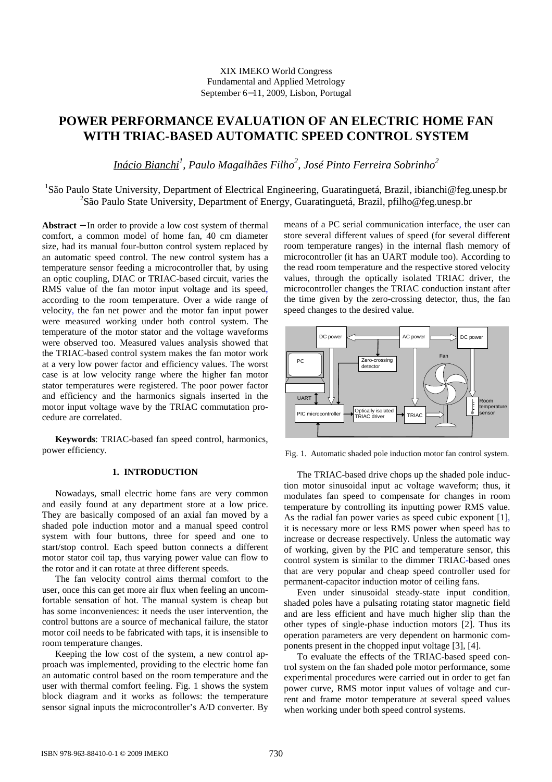## XIX IMEKO World Congress Fundamental and Applied Metrology September 6−11, 2009, Lisbon, Portugal

# **POWER PERFORMANCE EVALUATION OF AN ELECTRIC HOME FAN WITH TRIAC-BASED AUTOMATIC SPEED CONTROL SYSTEM**

*Inácio Bianchi<sup>1</sup> , Paulo Magalhães Filho<sup>2</sup> , José Pinto Ferreira Sobrinho<sup>2</sup>*

<sup>1</sup>São Paulo State University, Department of Electrical Engineering, Guaratinguetá, Brazil, ibianchi@feg.unesp.br <sup>2</sup>São Paulo State University, Department of Energy, Guaratinguetá, Brazil, pfilho@feg.unesp.br

**Abstract** − In order to provide a low cost system of thermal comfort, a common model of home fan, 40 cm diameter size, had its manual four-button control system replaced by an automatic speed control. The new control system has a temperature sensor feeding a microcontroller that, by using an optic coupling, DIAC or TRIAC-based circuit, varies the RMS value of the fan motor input voltage and its speed, according to the room temperature. Over a wide range of velocity, the fan net power and the motor fan input power were measured working under both control system. The temperature of the motor stator and the voltage waveforms were observed too. Measured values analysis showed that the TRIAC-based control system makes the fan motor work at a very low power factor and efficiency values. The worst case is at low velocity range where the higher fan motor stator temperatures were registered. The poor power factor and efficiency and the harmonics signals inserted in the motor input voltage wave by the TRIAC commutation procedure are correlated.

**Keywords**: TRIAC-based fan speed control, harmonics, power efficiency.

# **1. INTRODUCTION**

Nowadays, small electric home fans are very common and easily found at any department store at a low price. They are basically composed of an axial fan moved by a shaded pole induction motor and a manual speed control system with four buttons, three for speed and one to start/stop control. Each speed button connects a different motor stator coil tap, thus varying power value can flow to the rotor and it can rotate at three different speeds.

The fan velocity control aims thermal comfort to the user, once this can get more air flux when feeling an uncomfortable sensation of hot. The manual system is cheap but has some inconveniences: it needs the user intervention, the control buttons are a source of mechanical failure, the stator motor coil needs to be fabricated with taps, it is insensible to room temperature changes.

Keeping the low cost of the system, a new control approach was implemented, providing to the electric home fan an automatic control based on the room temperature and the user with thermal comfort feeling. Fig. 1 shows the system block diagram and it works as follows: the temperature sensor signal inputs the microcontroller's A/D converter. By means of a PC serial communication interface, the user can store several different values of speed (for several different room temperature ranges) in the internal flash memory of microcontroller (it has an UART module too). According to the read room temperature and the respective stored velocity values, through the optically isolated TRIAC driver, the microcontroller changes the TRIAC conduction instant after the time given by the zero-crossing detector, thus, the fan speed changes to the desired value.



Fig. 1. Automatic shaded pole induction motor fan control system.

The TRIAC-based drive chops up the shaded pole induction motor sinusoidal input ac voltage waveform; thus, it modulates fan speed to compensate for changes in room temperature by controlling its inputting power RMS value. As the radial fan power varies as speed cubic exponent [1], it is necessary more or less RMS power when speed has to increase or decrease respectively. Unless the automatic way of working, given by the PIC and temperature sensor, this control system is similar to the dimmer TRIAC-based ones that are very popular and cheap speed controller used for permanent-capacitor induction motor of ceiling fans.

Even under sinusoidal steady-state input condition, shaded poles have a pulsating rotating stator magnetic field and are less efficient and have much higher slip than the other types of single-phase induction motors [2]. Thus its operation parameters are very dependent on harmonic components present in the chopped input voltage [3], [4].

To evaluate the effects of the TRIAC-based speed control system on the fan shaded pole motor performance, some experimental procedures were carried out in order to get fan power curve, RMS motor input values of voltage and current and frame motor temperature at several speed values when working under both speed control systems.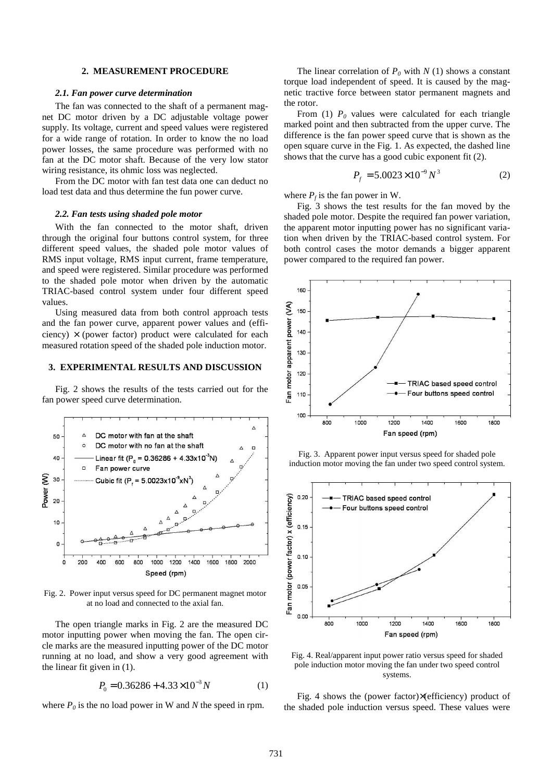#### **2. MEASUREMENT PROCEDURE**

#### *2.1. Fan power curve determination*

The fan was connected to the shaft of a permanent magnet DC motor driven by a DC adjustable voltage power supply. Its voltage, current and speed values were registered for a wide range of rotation. In order to know the no load power losses, the same procedure was performed with no fan at the DC motor shaft. Because of the very low stator wiring resistance, its ohmic loss was neglected.

From the DC motor with fan test data one can deduct no load test data and thus determine the fun power curve.

## *2.2. Fan tests using shaded pole motor*

With the fan connected to the motor shaft, driven through the original four buttons control system, for three different speed values, the shaded pole motor values of RMS input voltage, RMS input current, frame temperature, and speed were registered. Similar procedure was performed to the shaded pole motor when driven by the automatic TRIAC-based control system under four different speed values.

Using measured data from both control approach tests and the fan power curve, apparent power values and (efficiency)  $\times$  (power factor) product were calculated for each measured rotation speed of the shaded pole induction motor.

#### **3. EXPERIMENTAL RESULTS AND DISCUSSION**

Fig. 2 shows the results of the tests carried out for the fan power speed curve determination.



Fig. 2. Power input versus speed for DC permanent magnet motor at no load and connected to the axial fan.

The open triangle marks in Fig. 2 are the measured DC motor inputting power when moving the fan. The open circle marks are the measured inputting power of the DC motor running at no load, and show a very good agreement with the linear fit given in (1).

$$
P_0 = 0.36286 + 4.33 \times 10^{-3} N \tag{1}
$$

where  $P_0$  is the no load power in W and N the speed in rpm.

The linear correlation of  $P_0$  with  $N(1)$  shows a constant torque load independent of speed. It is caused by the magnetic tractive force between stator permanent magnets and the rotor.

From (1)  $P_0$  values were calculated for each triangle marked point and then subtracted from the upper curve. The difference is the fan power speed curve that is shown as the open square curve in the Fig. 1. As expected, the dashed line shows that the curve has a good cubic exponent fit (2).

$$
P_f = 5.0023 \times 10^{-9} N^3 \tag{2}
$$

where  $P_f$  is the fan power in W.

Fig. 3 shows the test results for the fan moved by the shaded pole motor. Despite the required fan power variation, the apparent motor inputting power has no significant variation when driven by the TRIAC-based control system. For both control cases the motor demands a bigger apparent power compared to the required fan power.



Fig. 3. Apparent power input versus speed for shaded pole induction motor moving the fan under two speed control system.



Fig. 4. Real/apparent input power ratio versus speed for shaded pole induction motor moving the fan under two speed control systems.

Fig. 4 shows the (power factor)×(efficiency) product of the shaded pole induction versus speed. These values were